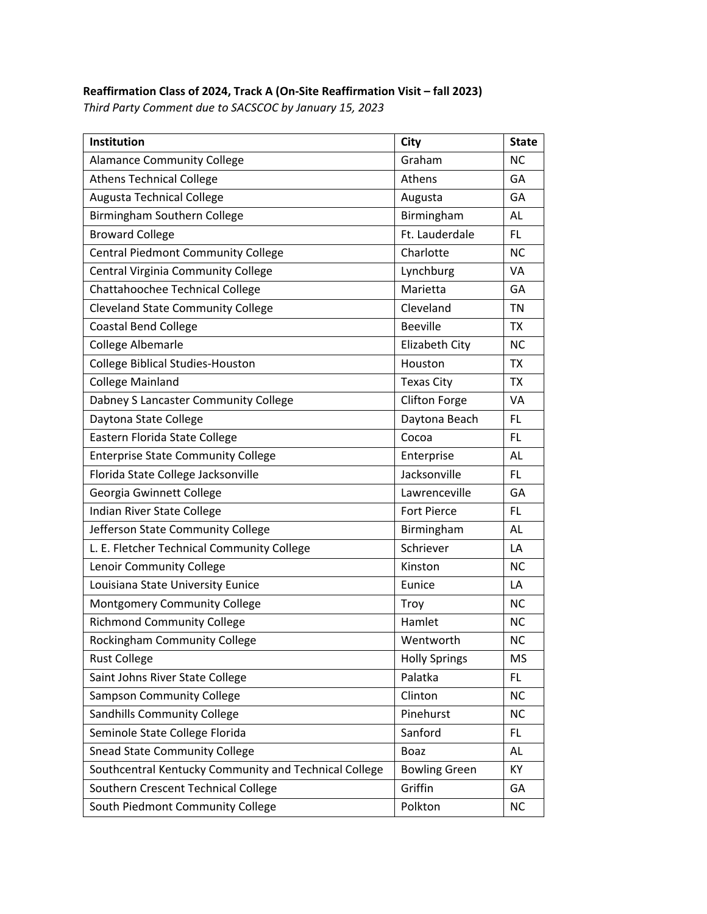## **Reaffirmation Class of 2024, Track A (On‐Site Reaffirmation Visit – fall 2023)**

*Third Party Comment due to SACSCOC by January 15, 2023*

| Institution                                           | City                 | <b>State</b> |
|-------------------------------------------------------|----------------------|--------------|
| <b>Alamance Community College</b>                     | Graham               | <b>NC</b>    |
| <b>Athens Technical College</b>                       | Athens               | GA           |
| Augusta Technical College                             | Augusta              | GА           |
| Birmingham Southern College                           | Birmingham           | AL           |
| <b>Broward College</b>                                | Ft. Lauderdale       | <b>FL</b>    |
| <b>Central Piedmont Community College</b>             | Charlotte            | <b>NC</b>    |
| Central Virginia Community College                    | Lynchburg            | VA           |
| Chattahoochee Technical College                       | Marietta             | GA           |
| <b>Cleveland State Community College</b>              | Cleveland            | TN           |
| <b>Coastal Bend College</b>                           | <b>Beeville</b>      | <b>TX</b>    |
| College Albemarle                                     | Elizabeth City       | <b>NC</b>    |
| <b>College Biblical Studies-Houston</b>               | Houston              | <b>TX</b>    |
| <b>College Mainland</b>                               | <b>Texas City</b>    | <b>TX</b>    |
| Dabney S Lancaster Community College                  | <b>Clifton Forge</b> | <b>VA</b>    |
| Daytona State College                                 | Daytona Beach        | <b>FL</b>    |
| Eastern Florida State College                         | Cocoa                | <b>FL</b>    |
| <b>Enterprise State Community College</b>             | Enterprise           | <b>AL</b>    |
| Florida State College Jacksonville                    | Jacksonville         | <b>FL</b>    |
| Georgia Gwinnett College                              | Lawrenceville        | GA           |
| Indian River State College                            | Fort Pierce          | <b>FL</b>    |
| Jefferson State Community College                     | Birmingham           | AL           |
| L. E. Fletcher Technical Community College            | Schriever            | LA           |
| Lenoir Community College                              | Kinston              | <b>NC</b>    |
| Louisiana State University Eunice                     | Eunice               | LA           |
| Montgomery Community College                          | Troy                 | <b>NC</b>    |
| <b>Richmond Community College</b>                     | Hamlet               | <b>NC</b>    |
| Rockingham Community College                          | Wentworth            | <b>NC</b>    |
| <b>Rust College</b>                                   | <b>Holly Springs</b> | <b>MS</b>    |
| Saint Johns River State College                       | Palatka              | <b>FL</b>    |
| <b>Sampson Community College</b>                      | Clinton              | <b>NC</b>    |
| <b>Sandhills Community College</b>                    | Pinehurst            | <b>NC</b>    |
| Seminole State College Florida                        | Sanford              | FL.          |
| <b>Snead State Community College</b>                  | Boaz                 | AL           |
| Southcentral Kentucky Community and Technical College | <b>Bowling Green</b> | KY           |
| Southern Crescent Technical College                   | Griffin              | GA           |
| South Piedmont Community College                      | Polkton              | <b>NC</b>    |